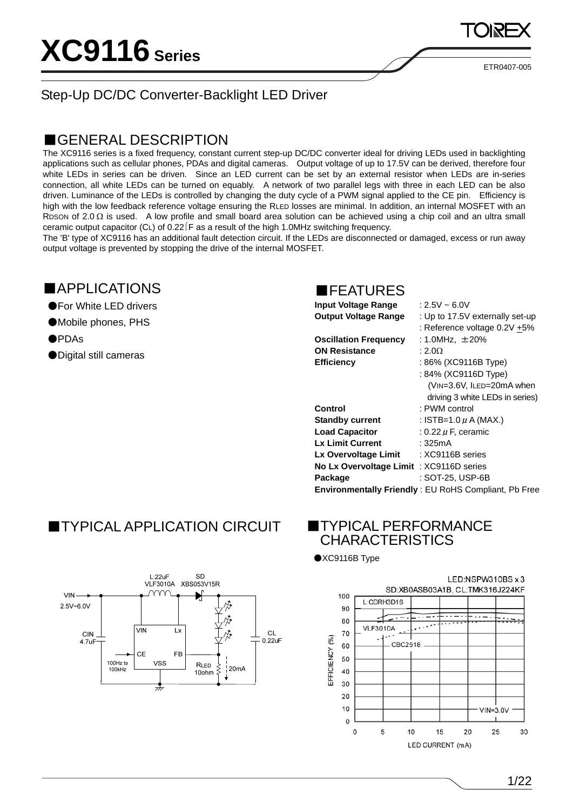ETR0407-005

### Step-Up DC/DC Converter-Backlight LED Driver

### ■GENERAL DESCRIPTION

The XC9116 series is a fixed frequency, constant current step-up DC/DC converter ideal for driving LEDs used in backlighting applications such as cellular phones, PDAs and digital cameras. Output voltage of up to 17.5V can be derived, therefore four white LEDs in series can be driven. Since an LED current can be set by an external resistor when LEDs are in-series connection, all white LEDs can be turned on equably. A network of two parallel legs with three in each LED can be also driven. Luminance of the LEDs is controlled by changing the duty cycle of a PWM signal applied to the CE pin. Efficiency is high with the low feedback reference voltage ensuring the RLED losses are minimal. In addition, an internal MOSFET with an RDSON of  $2.0 \Omega$  is used. A low profile and small board area solution can be achieved using a chip coil and an ultra small ceramic output capacitor (CL) of  $0.22$  F as a result of the high 1.0MHz switching frequency.

The 'B' type of XC9116 has an additional fault detection circuit. If the LEDs are disconnected or damaged, excess or run away output voltage is prevented by stopping the drive of the internal MOSFET.

### ■APPLICATIONS

- ●For White LED drivers
- ●Mobile phones, PHS
- ●PDAs
- ●Digital still cameras

### **EFFATURES**

| <b>Input Voltage Range</b>               | : 2.5V ~ 6.0V                                        |
|------------------------------------------|------------------------------------------------------|
| <b>Output Voltage Range</b>              | : Up to 17.5V externally set-up                      |
|                                          | : Reference voltage 0.2V +5%                         |
| <b>Oscillation Frequency</b>             | : 1.0MHz, $\pm 20\%$                                 |
| <b>ON Resistance</b>                     | : 2.0 $\Omega$                                       |
| <b>Efficiency</b>                        | : 86% (XC9116B Type)                                 |
|                                          | : 84% (XC9116D Type)                                 |
|                                          | (VIN=3.6V, ILED=20mA when                            |
|                                          | driving 3 white LEDs in series)                      |
| Control                                  | : PWM control                                        |
| <b>Standby current</b>                   | : ISTB=1.0 $\mu$ A (MAX.)                            |
| <b>Load Capacitor</b>                    | $: 0.22 \,\mu$ F, ceramic                            |
| <b>Lx Limit Current</b>                  | : 325mA                                              |
| Lx Overvoltage Limit                     | : XC9116B series                                     |
| No Lx Overvoltage Limit : XC9116D series |                                                      |
| Package                                  | : SOT-25, USP-6B                                     |
|                                          | Environmentally Friendly: EU RoHS Compliant, Pb Free |
|                                          |                                                      |

## ■TYPICAL APPLICATION CIRCUIT ■TYPICAL PERFORMANCE



# **CHARACTERISTICS**

●XC9116B Type

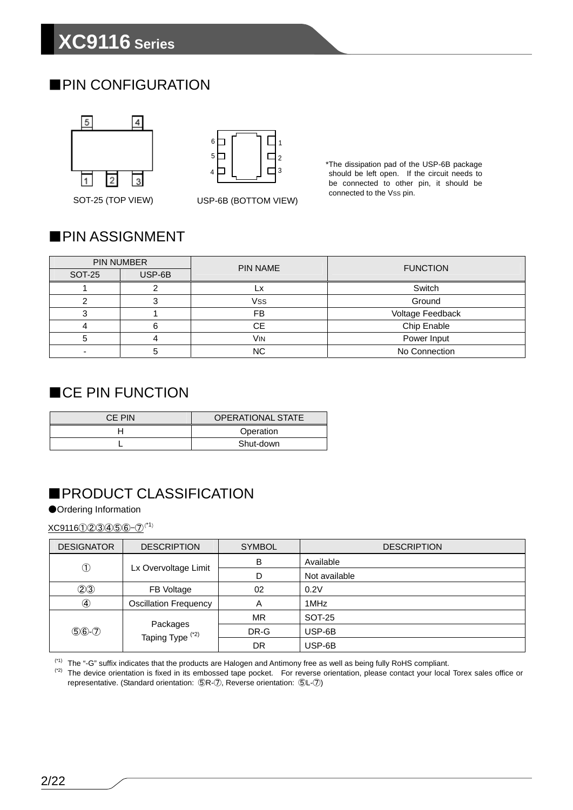## ■PIN CONFIGURATION





\*The dissipation pad of the USP-6B package should be left open. If the circuit needs to be connected to other pin, it should be connected to the Vss pin.

### SOT-25 (TOP VIEW) USP-6B (BOTTOM VIEW)

### ■PIN ASSIGNMENT

|        | <b>PIN NUMBER</b> | <b>PIN NAME</b>       | <b>FUNCTION</b>  |
|--------|-------------------|-----------------------|------------------|
| SOT-25 | USP-6B            |                       |                  |
|        |                   |                       | Switch           |
|        |                   | <b>Vss</b>            | Ground           |
|        |                   | FB                    | Voltage Feedback |
|        | 6                 | CЕ                    | Chip Enable      |
|        |                   | <b>V<sub>IN</sub></b> | Power Input      |
|        |                   | <b>NC</b>             | No Connection    |

### ■CE PIN FUNCTION

| CE PIN | <b>OPERATIONAL STATE</b> |
|--------|--------------------------|
|        | Operation                |
|        | Shut-down                |

## ■PRODUCT CLASSIFICATION

### ●Ordering Information

XC9116①②③④⑤⑥-⑦(\*1)

| <b>DESIGNATOR</b> | <b>DESCRIPTION</b>                      | <b>SYMBOL</b> | <b>DESCRIPTION</b> |
|-------------------|-----------------------------------------|---------------|--------------------|
| $^\circledR$      |                                         | B             | Available          |
|                   | Lx Overvoltage Limit                    | D             | Not available      |
| (2)3              | FB Voltage                              | 02            | 0.2V               |
| $\circled{4}$     | <b>Oscillation Frequency</b>            | Α             | 1MHz               |
|                   | Packages<br>Taping Type <sup>(*2)</sup> | MR            | SOT-25             |
| $$6-2$            |                                         | DR-G          | USP-6B             |
|                   |                                         | DR            | USP-6B             |

(\*1) The "-G" suffix indicates that the products are Halogen and Antimony free as well as being fully RoHS compliant.

(\*2) The device orientation is fixed in its embossed tape pocket. For reverse orientation, please contact your local Torex sales office or representative. (Standard orientation: ⑤R-⑦, Reverse orientation: ⑤L-⑦)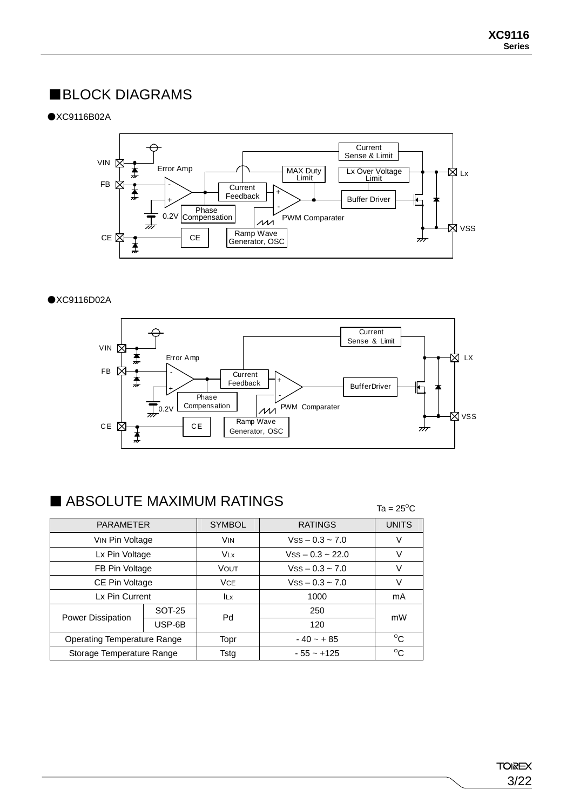### ■BLOCK DIAGRAMS

●XC9116B02A



### ●XC9116D02A



### $\blacksquare$  ABSOLUTE MAXIMUM RATINGS

| ADOULU I E MAAIMUM NATINGO         | Ta = $25^{\circ}$ C |               |                         |              |
|------------------------------------|---------------------|---------------|-------------------------|--------------|
| <b>PARAMETER</b>                   |                     | <b>SYMBOL</b> | <b>RATINGS</b>          | <b>UNITS</b> |
| VIN Pin Voltage                    |                     | VIN           | $VSS - 0.3 \sim 7.0$    | V            |
| Lx Pin Voltage                     |                     | <b>VLx</b>    | $V$ ss $-0.3 \sim 22.0$ | V            |
| FB Pin Voltage                     |                     | <b>VOUT</b>   | $VSS - 0.3 \sim 7.0$    | V            |
| CE Pin Voltage                     |                     | <b>VCE</b>    | $VSS - 0.3 \sim 7.0$    | V            |
| Lx Pin Current                     |                     | <b>ILx</b>    | 1000                    | mA           |
|                                    | SOT-25              | Pd            | 250                     | mW           |
| <b>Power Dissipation</b>           | USP-6B              |               | 120                     |              |
| <b>Operating Temperature Range</b> |                     | Topr          | $-40 - + 85$            | $^{\circ}$ C |
| Storage Temperature Range          |                     | Tstg          | $-55 - +125$            | $^{\circ}$ C |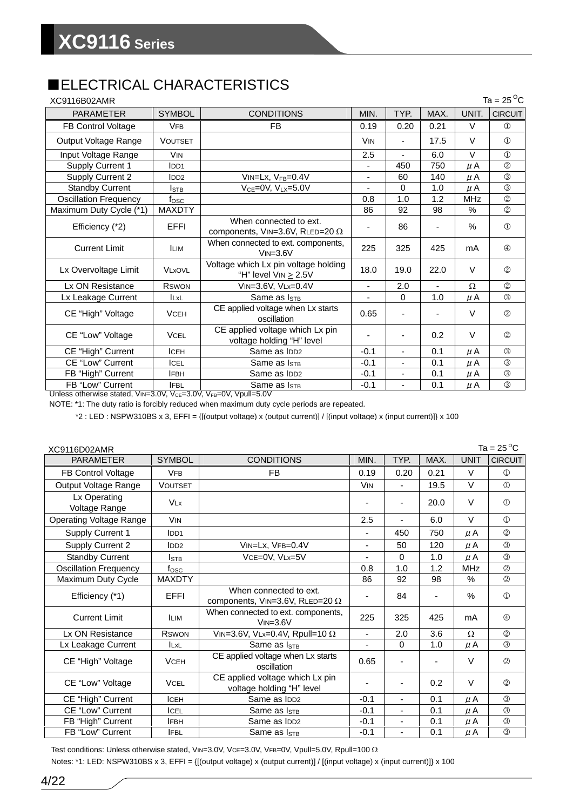## ■ELECTRICAL CHARACTERISTICS

| XC9116B02AMR                 |                       |                                                                        |                       |                          |               |            | Ta = $25^{\circ}$ C |
|------------------------------|-----------------------|------------------------------------------------------------------------|-----------------------|--------------------------|---------------|------------|---------------------|
| <b>PARAMETER</b>             | <b>SYMBOL</b>         | <b>CONDITIONS</b>                                                      | MIN.                  | TYP.                     | MAX.          | UNIT.      | <b>CIRCUIT</b>      |
| FB Control Voltage           | <b>VFB</b>            | FB                                                                     | 0.19                  | 0.20                     | 0.21          | V          | $\circled{1}$       |
| Output Voltage Range         | <b>VOUTSET</b>        |                                                                        | <b>V<sub>IN</sub></b> |                          | 17.5          | $\vee$     | $\circled{1}$       |
| Input Voltage Range          | <b>V<sub>IN</sub></b> |                                                                        | 2.5                   | $\blacksquare$           | 6.0           | $\vee$     | $\mathcal{D}$       |
| Supply Current 1             | IDD1                  |                                                                        | ٠                     | 450                      | 750           | μA         | $\circled{2}$       |
| <b>Supply Current 2</b>      | IDD2                  | VIN=Lx, VFB=0.4V                                                       |                       | 60                       | 140           | μA         | $\circled{3}$       |
| <b>Standby Current</b>       | Istb                  | $V_{CE} = 0V$ , $V_{LX} = 5.0V$                                        |                       | $\Omega$                 | 1.0           | μA         | $\circled{3}$       |
| <b>Oscillation Frequency</b> | $f_{\rm{OSC}}$        |                                                                        | 0.8                   | 1.0                      | 1.2           | <b>MHz</b> | $\circled{2}$       |
| Maximum Duty Cycle (*1)      | <b>MAXDTY</b>         |                                                                        | 86                    | 92                       | 98            | $\%$       | $\circled{2}$       |
| Efficiency (*2)              | <b>EFFI</b>           | When connected to ext.<br>components, $V_{IN}=3.6V$ , RLED=20 $\Omega$ |                       | 86                       | ۳             | $\%$       | $\circled{1}$       |
| <b>Current Limit</b>         | <b>ILIM</b>           | When connected to ext. components,<br>$VIN = 3.6V$                     | 225                   | 325                      | 425           | mA         | $\circled{4}$       |
| Lx Overvoltage Limit         | <b>VLxOVL</b>         | Voltage which Lx pin voltage holding<br>"H" level $V_{IN} \geq 2.5V$   | 18.0                  | 19.0                     | 22.0          | $\vee$     | $\circled{2}$       |
| Lx ON Resistance             | <b>RSWON</b>          | VIN=3.6V, VLx=0.4V                                                     | $\frac{1}{2}$         | 2.0                      | $\frac{1}{2}$ | Ω          | $\circled{2}$       |
| Lx Leakage Current           | <b>ILxL</b>           | Same as I <sub>STB</sub>                                               | $\blacksquare$        | $\Omega$                 | 1.0           | μA         | $\circled{3}$       |
| CE "High" Voltage            | <b>VCEH</b>           | CE applied voltage when Lx starts<br>oscillation                       | 0.65                  | $\overline{\phantom{a}}$ |               | $\vee$     | $\circled{2}$       |
| CE "Low" Voltage             | <b>VCEL</b>           | CE applied voltage which Lx pin<br>voltage holding "H" level           |                       |                          | 0.2           | $\vee$     | $\circled{2}$       |
| CE "High" Current            | <b>ICEH</b>           | Same as IDD <sub>2</sub>                                               | $-0.1$                | $\blacksquare$           | 0.1           | μA         | $\circled{3}$       |
| <b>CE "Low" Current</b>      | <b>ICEL</b>           | Same as I <sub>STB</sub>                                               | $-0.1$                | L,                       | 0.1           | μA         | $\circled{3}$       |
| FB "High" Current            | <b>IFBH</b>           | Same as IDD <sub>2</sub>                                               | $-0.1$                | $\overline{\phantom{a}}$ | 0.1           | μA         | $\circled{3}$       |
| FB "Low" Current             | <b>IFBL</b>           | Same as I <sub>STB</sub>                                               | $-0.1$                |                          | 0.1           | μA         | $\circled{3}$       |

Unless otherwise stated, VIN=3.0V, V<sub>CE</sub>=3.0V, V<sub>FB</sub>=0V, Vpull=5.0V

NOTE: \*1: The duty ratio is forcibly reduced when maximum duty cycle periods are repeated.

\*2 : LED : NSPW310BS x 3, EFFI = {[(output voltage) x (output current)] / [(input voltage) x (input current)]} x 100

| XC9116D02AMR                   |                       |                                                                  |                       |                          |      |               | Ta = 25 $^{\circ}$ C |
|--------------------------------|-----------------------|------------------------------------------------------------------|-----------------------|--------------------------|------|---------------|----------------------|
| <b>PARAMETER</b>               | <b>SYMBOL</b>         | <b>CONDITIONS</b>                                                | MIN.                  | TYP.                     | MAX. | <b>UNIT</b>   | <b>CIRCUIT</b>       |
| <b>FB Control Voltage</b>      | <b>VFB</b>            | <b>FB</b>                                                        | 0.19                  | 0.20                     | 0.21 | V             | $\circled{1}$        |
| Output Voltage Range           | <b>VOUTSET</b>        |                                                                  | <b>V<sub>IN</sub></b> | $\blacksquare$           | 19.5 | $\vee$        | $\circled{1}$        |
| Lx Operating<br>Voltage Range  | <b>VLx</b>            |                                                                  |                       | ٠                        | 20.0 | $\vee$        | $\circled{1}$        |
| <b>Operating Voltage Range</b> | <b>V<sub>IN</sub></b> |                                                                  | 2.5                   |                          | 6.0  | $\vee$        | $\circled{1}$        |
| Supply Current 1               | IDD <sub>1</sub>      |                                                                  |                       | 450                      | 750  | μA            | (2)                  |
| Supply Current 2               | IDD2                  | VIN=Lx, VFB=0.4V                                                 | $\blacksquare$        | 50                       | 120  | μA            | $\circled{3}$        |
| <b>Standby Current</b>         | Istb                  | VCE=0V, VLx=5V                                                   | $\blacksquare$        | 0                        | 1.0  | μA            | (3)                  |
| <b>Oscillation Frequency</b>   | fosc                  |                                                                  | 0.8                   | 1.0                      | 1.2  | <b>MHz</b>    | $^{\circledR}$       |
| Maximum Duty Cycle             | <b>MAXDTY</b>         |                                                                  | 86                    | 92                       | 98   | $\frac{0}{0}$ | (2)                  |
| Efficiency (*1)                | EFFI                  | When connected to ext.<br>components, VIN=3.6V, RLED=20 $\Omega$ |                       | 84                       |      | $\%$          | $\circled{1}$        |
| <b>Current Limit</b>           | <b>ILIM</b>           | When connected to ext. components,<br>$VIN = 3.6V$               | 225                   | 325                      | 425  | mA            | $\circledcirc$       |
| Lx ON Resistance               | <b>RSWON</b>          | VIN=3.6V, VLx=0.4V, Rpull=10 $\Omega$                            | $\blacksquare$        | 2.0                      | 3.6  | $\Omega$      | (2)                  |
| Lx Leakage Current             | <b>ILxL</b>           | Same as ISTB                                                     |                       | $\Omega$                 | 1.0  | μA            | $\circled{3}$        |
| CE "High" Voltage              | <b>VCEH</b>           | CE applied voltage when Lx starts<br>oscillation                 | 0.65                  |                          |      | $\vee$        | $\circled{2}$        |
| CE "Low" Voltage               | <b>VCEL</b>           | CE applied voltage which Lx pin<br>voltage holding "H" level     | $\blacksquare$        | $\overline{a}$           | 0.2  | V             | (2)                  |
| CE "High" Current              | <b>ICEH</b>           | Same as IDD <sub>2</sub>                                         | $-0.1$                | $\blacksquare$           | 0.1  | μA            | (3)                  |
| <b>CE "Low" Current</b>        | <b>ICEL</b>           | Same as $I_{STB}$                                                | $-0.1$                | $\overline{\phantom{a}}$ | 0.1  | μA            | $\circled{3}$        |
| FB "High" Current              | <b>IFBH</b>           | Same as IDD <sub>2</sub>                                         | $-0.1$                |                          | 0.1  | μA            | $\circled{3}$        |
| FB "Low" Current               | <b>IFBL</b>           | Same as $I_{STB}$                                                | $-0.1$                | $\blacksquare$           | 0.1  | μA            | $\circled{3}$        |

Test conditions: Unless otherwise stated, VIN=3.0V, VCE=3.0V, VFB=0V, Vpull=5.0V, Rpull=100 Ω Notes: \*1: LED: NSPW310BS x 3, EFFI = {[(output voltage) x (output current)] / [(input voltage) x (input current)]} x 100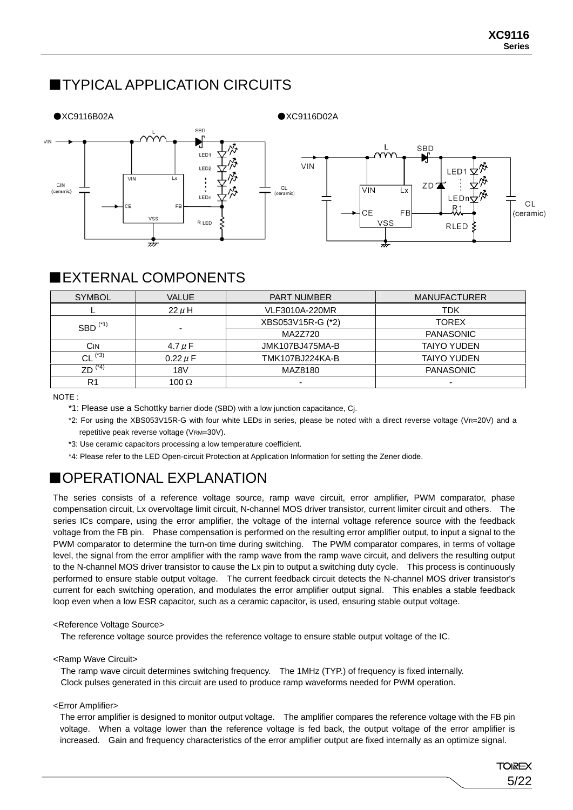## ■TYPICAL APPLICATION CIRCUITS







### ■EXTERNAL COMPONENTS

| <b>SYMBOL</b>                      | <b>VALUE</b>               | <b>PART NUMBER</b> | <b>MANUFACTURER</b> |
|------------------------------------|----------------------------|--------------------|---------------------|
|                                    | $22 \mu H$                 | VLF3010A-220MR     | <b>TDK</b>          |
| $SBD$ <sup><math>(*1)</math></sup> |                            | XBS053V15R-G (*2)  | <b>TOREX</b>        |
|                                    | $\overline{\phantom{0}}$   | MA2Z720            | <b>PANASONIC</b>    |
| Cın                                | 4.7 $\mu$ F                | JMK107BJ475MA-B    | <b>TAIYO YUDEN</b>  |
| $CL$ <sup>(*3)</sup>               | $0.22 \mu F$               | TMK107BJ224KA-B    | <b>TAIYO YUDEN</b>  |
| $ZD^{(*)}$                         | 18 <sub>V</sub><br>MAZ8180 |                    | <b>PANASONIC</b>    |
| R <sub>1</sub>                     | 100 $\Omega$               | -                  |                     |

NOTE :

- \*1: Please use a Schottky barrier diode (SBD) with a low junction capacitance, Cj.
- \*2: For using the XBS053V15R-G with four white LEDs in series, please be noted with a direct reverse voltage (VR=20V) and a repetitive peak reverse voltage (VRM=30V).
- \*3: Use ceramic capacitors processing a low temperature coefficient.
- \*4: Please refer to the LED Open-circuit Protection at Application Information for setting the Zener diode.

## ■OPERATIONAL EXPLANATION

The series consists of a reference voltage source, ramp wave circuit, error amplifier, PWM comparator, phase compensation circuit, Lx overvoltage limit circuit, N-channel MOS driver transistor, current limiter circuit and others. The series ICs compare, using the error amplifier, the voltage of the internal voltage reference source with the feedback voltage from the FB pin. Phase compensation is performed on the resulting error amplifier output, to input a signal to the PWM comparator to determine the turn-on time during switching. The PWM comparator compares, in terms of voltage level, the signal from the error amplifier with the ramp wave from the ramp wave circuit, and delivers the resulting output to the N-channel MOS driver transistor to cause the Lx pin to output a switching duty cycle. This process is continuously performed to ensure stable output voltage. The current feedback circuit detects the N-channel MOS driver transistor's current for each switching operation, and modulates the error amplifier output signal. This enables a stable feedback loop even when a low ESR capacitor, such as a ceramic capacitor, is used, ensuring stable output voltage.

### <Reference Voltage Source>

The reference voltage source provides the reference voltage to ensure stable output voltage of the IC.

### <Ramp Wave Circuit>

The ramp wave circuit determines switching frequency. The 1MHz (TYP.) of frequency is fixed internally. Clock pulses generated in this circuit are used to produce ramp waveforms needed for PWM operation.

<Error Amplifier>

The error amplifier is designed to monitor output voltage. The amplifier compares the reference voltage with the FB pin voltage. When a voltage lower than the reference voltage is fed back, the output voltage of the error amplifier is increased. Gain and frequency characteristics of the error amplifier output are fixed internally as an optimize signal.

> **TOIREX** 5/22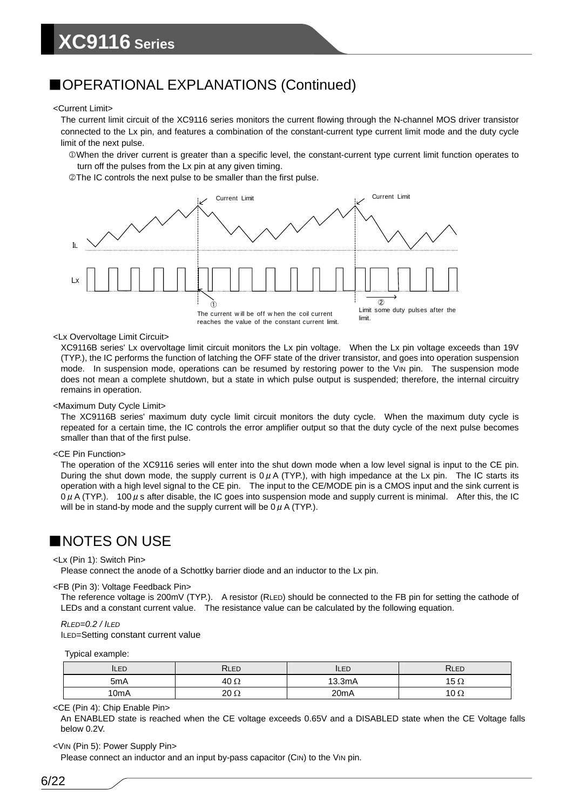### ■OPERATIONAL EXPLANATIONS (Continued)

#### <Current Limit>

The current limit circuit of the XC9116 series monitors the current flowing through the N-channel MOS driver transistor connected to the Lx pin, and features a combination of the constant-current type current limit mode and the duty cycle limit of the next pulse.

1When the driver current is greater than a specific level, the constant-current type current limit function operates to turn off the pulses from the Lx pin at any given timing.

2The IC controls the next pulse to be smaller than the first pulse.



#### <Lx Overvoltage Limit Circuit>

XC9116B series' Lx overvoltage limit circuit monitors the Lx pin voltage. When the Lx pin voltage exceeds than 19V (TYP.), the IC performs the function of latching the OFF state of the driver transistor, and goes into operation suspension mode. In suspension mode, operations can be resumed by restoring power to the VIN pin. The suspension mode does not mean a complete shutdown, but a state in which pulse output is suspended; therefore, the internal circuitry remains in operation.

#### <Maximum Duty Cycle Limit>

The XC9116B series' maximum duty cycle limit circuit monitors the duty cycle. When the maximum duty cycle is repeated for a certain time, the IC controls the error amplifier output so that the duty cycle of the next pulse becomes smaller than that of the first pulse.

#### <CE Pin Function>

The operation of the XC9116 series will enter into the shut down mode when a low level signal is input to the CE pin. During the shut down mode, the supply current is  $0\mu A$  (TYP.), with high impedance at the Lx pin. The IC starts its operation with a high level signal to the CE pin. The input to the CE/MODE pin is a CMOS input and the sink current is  $0 \mu$  A (TYP.). 100  $\mu$  s after disable, the IC goes into suspension mode and supply current is minimal. After this, the IC will be in stand-by mode and the supply current will be  $0 \mu$  A (TYP.).

### ■NOTES ON USE

#### <Lx (Pin 1): Switch Pin>

Please connect the anode of a Schottky barrier diode and an inductor to the Lx pin.

#### <FB (Pin 3): Voltage Feedback Pin>

The reference voltage is 200mV (TYP.). A resistor (RLED) should be connected to the FB pin for setting the cathode of LEDs and a constant current value. The resistance value can be calculated by the following equation.

#### *RLED=0.2 / ILED*

ILED=Setting constant current value

Typical example:

| ILED             | RLED        | ILED              | <b>RLED</b> |
|------------------|-------------|-------------------|-------------|
| 5 <sub>m</sub> A | $40 \Omega$ | 13.3mA            | 15 $\Omega$ |
| 10mA             | $20 \Omega$ | 20 <sub>m</sub> A | 10 $\Omega$ |

#### <CE (Pin 4): Chip Enable Pin>

An ENABLED state is reached when the CE voltage exceeds 0.65V and a DISABLED state when the CE Voltage falls below 0.2V.

#### <VIN (Pin 5): Power Supply Pin>

Please connect an inductor and an input by-pass capacitor (CIN) to the VIN pin.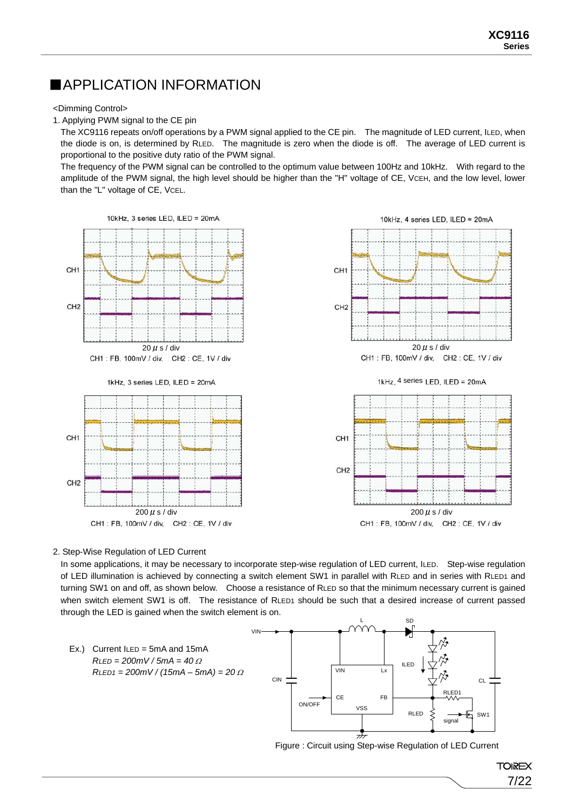### ■APPLICATION INFORMATION

<Dimming Control>

1. Applying PWM signal to the CE pin

The XC9116 repeats on/off operations by a PWM signal applied to the CE pin. The magnitude of LED current, ILED, when the diode is on, is determined by RLED. The magnitude is zero when the diode is off. The average of LED current is proportional to the positive duty ratio of the PWM signal.

The frequency of the PWM signal can be controlled to the optimum value between 100Hz and 10kHz. With regard to the amplitude of the PWM signal, the high level should be higher than the "H" voltage of CE, VCEH, and the low level, lower than the "L" voltage of CE, VCEL.



2. Step-Wise Regulation of LED Current

In some applications, it may be necessary to incorporate step-wise regulation of LED current, ILED. Step-wise regulation of LED illumination is achieved by connecting a switch element SW1 in parallel with RLED and in series with RLED1 and turning SW1 on and off, as shown below. Choose a resistance of RLED so that the minimum necessary current is gained when switch element SW1 is off. The resistance of RLED1 should be such that a desired increase of current passed through the LED is gained when the switch element is on.





Figure : Circuit using Step-wise Regulation of LED Current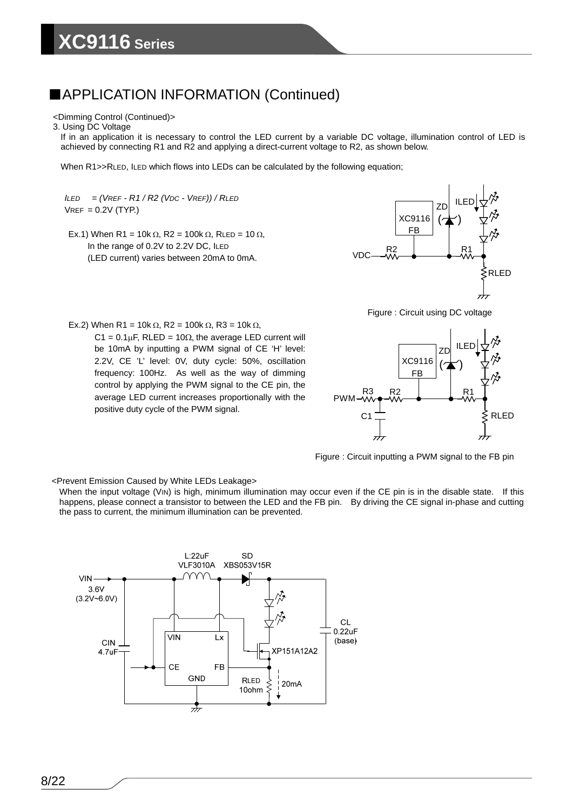#### <Dimming Control (Continued)>

#### 3. Using DC Voltage

If in an application it is necessary to control the LED current by a variable DC voltage, illumination control of LED is achieved by connecting R1 and R2 and applying a direct-current voltage to R2, as shown below.

When R1>>RLED, ILED which flows into LEDs can be calculated by the following equation;

*ILED = (VREF - R1 / R2 (VDC - VREF)) / RLED*  $VREF = 0.2V$  (TYP.)

Ex.1) When R1 = 10k  $\Omega$ , R2 = 100k  $\Omega$ , RLED = 10  $\Omega$ , In the range of 0.2V to 2.2V DC, ILED (LED current) varies between 20mA to 0mA.



Figure : Circuit using DC voltage

Ex.2) When R1 = 10k Ω, R2 = 100k Ω, R3 = 10k Ω, C1 =  $0.1 \mu$ F, RLED =  $10 \Omega$ , the average LED current will be 10mA by inputting a PWM signal of CE 'H' level: 2.2V, CE 'L' level: 0V, duty cycle: 50%, oscillation frequency: 100Hz. As well as the way of dimming control by applying the PWM signal to the CE pin, the average LED current increases proportionally with the positive duty cycle of the PWM signal.



Figure : Circuit inputting a PWM signal to the FB pin

<Prevent Emission Caused by White LEDs Leakage>

When the input voltage (VIN) is high, minimum illumination may occur even if the CE pin is in the disable state. If this happens, please connect a transistor to between the LED and the FB pin. By driving the CE signal in-phase and cutting the pass to current, the minimum illumination can be prevented.

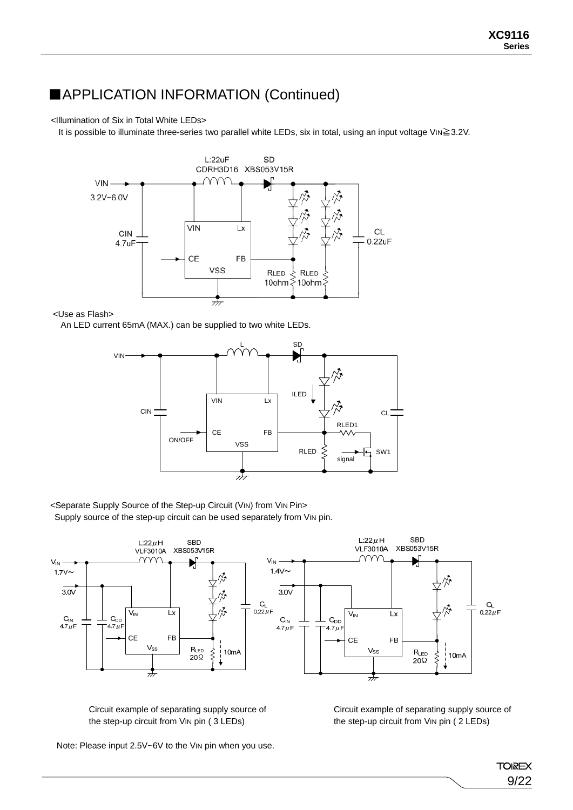#### <Illumination of Six in Total White LEDs>

It is possible to illuminate three-series two parallel white LEDs, six in total, using an input voltage VIN≧3.2V.



<Use as Flash>

An LED current 65mA (MAX.) can be supplied to two white LEDs.



<Separate Supply Source of the Step-up Circuit (VIN) from VIN Pin>

Supply source of the step-up circuit can be used separately from VIN pin.



Circuit example of separating supply source of the step-up circuit from VIN pin ( 3 LEDs)

Circuit example of separating supply source of the step-up circuit from VIN pin ( 2 LEDs)

Note: Please input 2.5V~6V to the VIN pin when you use.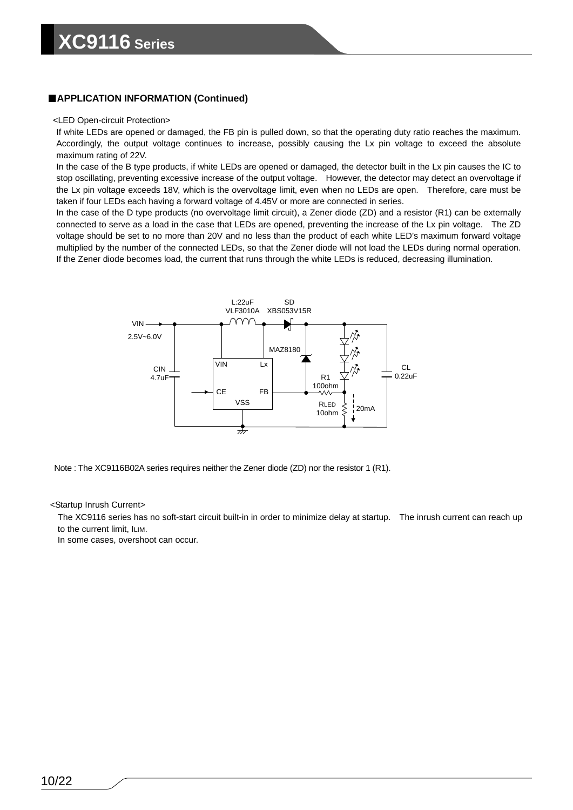#### <LED Open-circuit Protection>

If white LEDs are opened or damaged, the FB pin is pulled down, so that the operating duty ratio reaches the maximum. Accordingly, the output voltage continues to increase, possibly causing the Lx pin voltage to exceed the absolute maximum rating of 22V.

In the case of the B type products, if white LEDs are opened or damaged, the detector built in the Lx pin causes the IC to stop oscillating, preventing excessive increase of the output voltage. However, the detector may detect an overvoltage if the Lx pin voltage exceeds 18V, which is the overvoltage limit, even when no LEDs are open. Therefore, care must be taken if four LEDs each having a forward voltage of 4.45V or more are connected in series.

In the case of the D type products (no overvoltage limit circuit), a Zener diode (ZD) and a resistor (R1) can be externally connected to serve as a load in the case that LEDs are opened, preventing the increase of the Lx pin voltage. The ZD voltage should be set to no more than 20V and no less than the product of each white LED's maximum forward voltage multiplied by the number of the connected LEDs, so that the Zener diode will not load the LEDs during normal operation. If the Zener diode becomes load, the current that runs through the white LEDs is reduced, decreasing illumination.



Note : The XC9116B02A series requires neither the Zener diode (ZD) nor the resistor 1 (R1).

#### <Startup Inrush Current>

The XC9116 series has no soft-start circuit built-in in order to minimize delay at startup. The inrush current can reach up to the current limit, ILIM.

In some cases, overshoot can occur.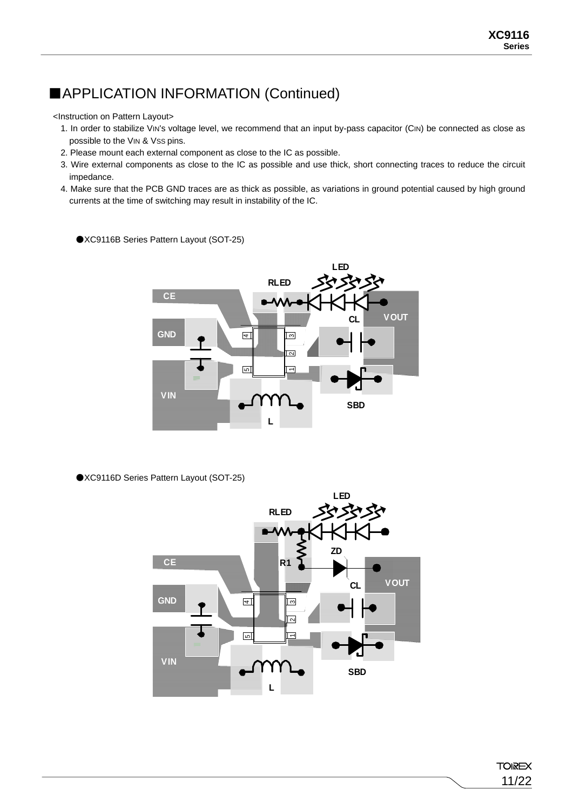<Instruction on Pattern Layout>

- 1. In order to stabilize VIN's voltage level, we recommend that an input by-pass capacitor (CIN) be connected as close as possible to the VIN & Vss pins.
- 2. Please mount each external component as close to the IC as possible.
- 3. Wire external components as close to the IC as possible and use thick, short connecting traces to reduce the circuit impedance.
- 4. Make sure that the PCB GND traces are as thick as possible, as variations in ground potential caused by high ground currents at the time of switching may result in instability of the IC.



●XC9116B Series Pattern Layout (SOT-25)

●XC9116D Series Pattern Layout (SOT-25)



**TOIREX** 11/22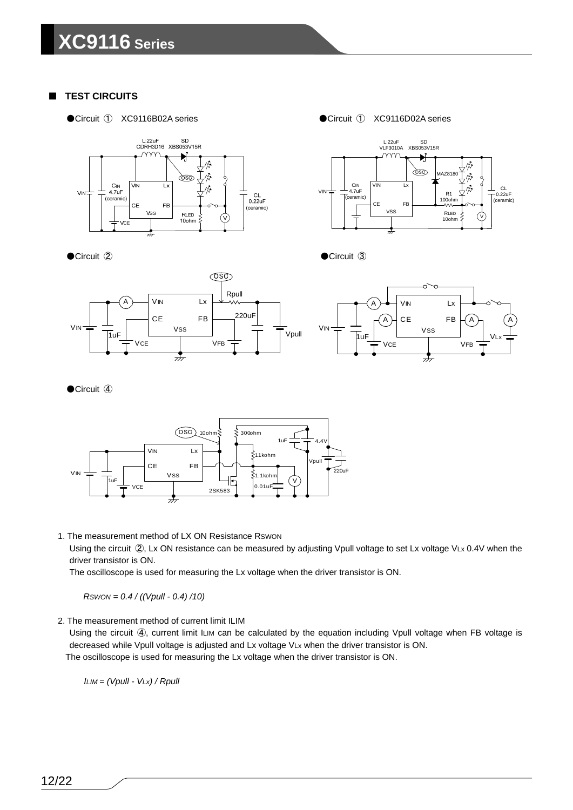### **TEST CIRCUITS**

●Circuit ① XC9116B02A series



●Circuit 2

●Circuit ① XC9116D02A series



●Circuit **③** 



### ●Circuit 4



1. The measurement method of LX ON Resistance RSWON

Using the circuit 2, Lx ON resistance can be measured by adjusting Vpull voltage to set Lx voltage VLx 0.4V when the driver transistor is ON.

The oscilloscope is used for measuring the Lx voltage when the driver transistor is ON.

*RSWON = 0.4 / ((Vpull - 0.4) /10)* 

2. The measurement method of current limit ILIM

Using the circuit (4), current limit ILIM can be calculated by the equation including Vpull voltage when FB voltage is decreased while Vpull voltage is adjusted and Lx voltage VLx when the driver transistor is ON. The oscilloscope is used for measuring the Lx voltage when the driver transistor is ON.

*ILIM = (Vpull - VLx) / Rpull*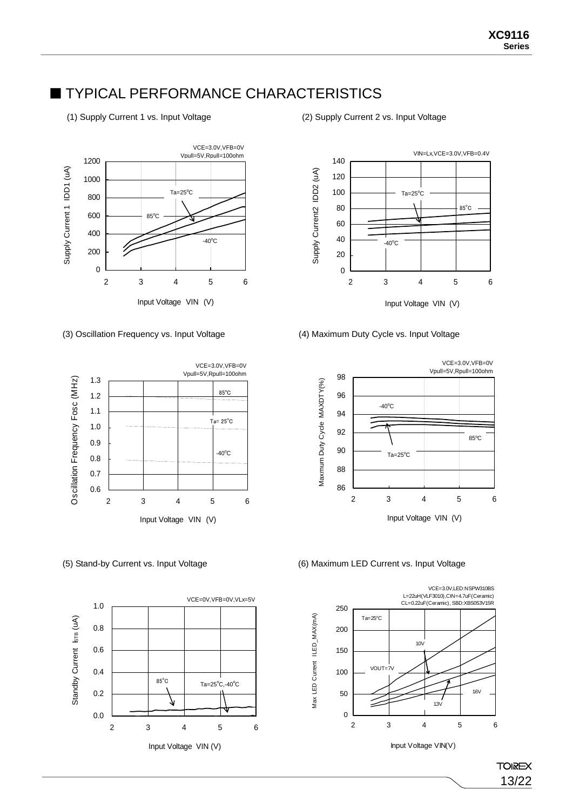### **TYPICAL PERFORMANCE CHARACTERISTICS**

(1) Supply Current 1 vs. Input Voltage (2) Supply Current 2 vs. Input Voltage



#### (3) Oscillation Frequency vs. Input Voltage (4) Maximum Duty Cycle vs. Input Voltage









#### (5) Stand-by Current vs. Input Voltage (6) Maximum LED Current vs. Input Voltage



Input Voltage VIN(V)

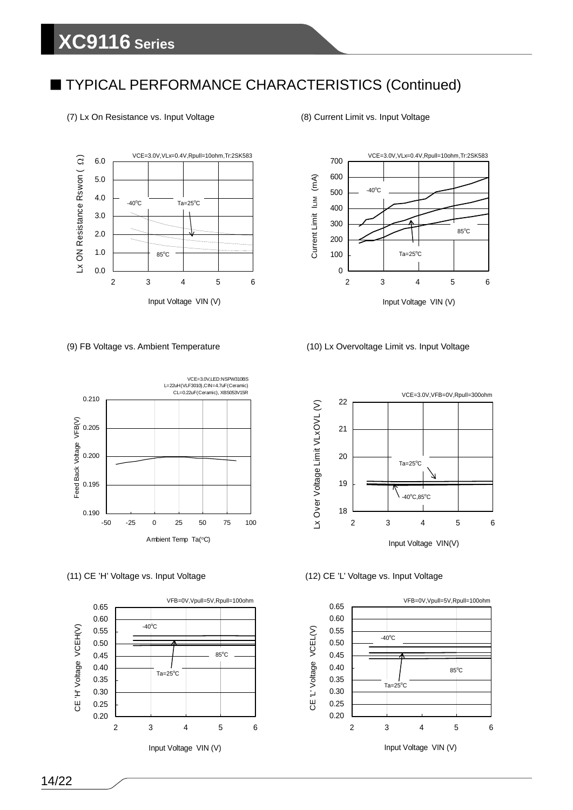## ■ TYPICAL PERFORMANCE CHARACTERISTICS (Continued)

#### (7) Lx On Resistance vs. Input Voltage (8) Current Limit vs. Input Voltage









#### (9) FB Voltage vs. Ambient Temperature (10) Lx Overvoltage Limit vs. Input Voltage



#### (11) CE 'H' Voltage vs. Input Voltage (12) CE 'L' Voltage vs. Input Voltage



14/22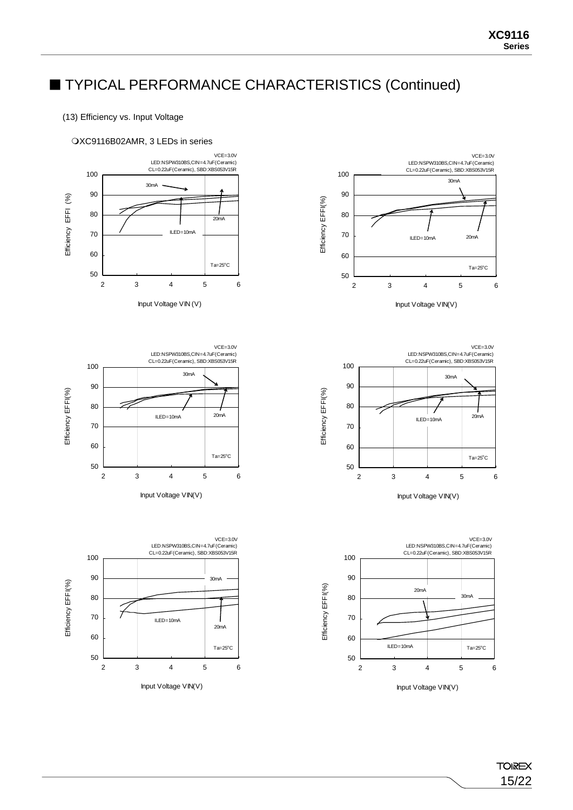## ■ TYPICAL PERFORMANCE CHARACTERISTICS (Continued)

### (13) Efficiency vs. Input Voltage

#### XC9116B02AMR, 3 LEDs in series



Input Voltage VIN (V)









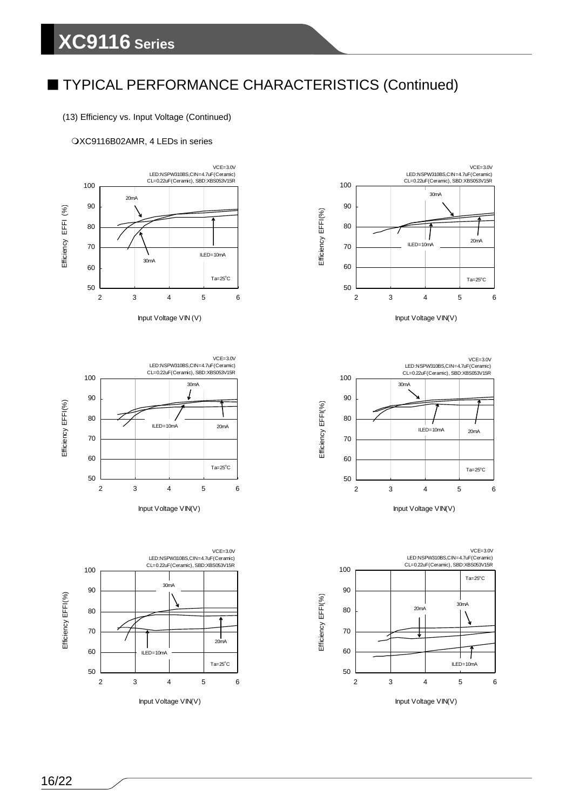## ■ TYPICAL PERFORMANCE CHARACTERISTICS (Continued)

(13) Efficiency vs. Input Voltage (Continued)

#### XC9116B02AMR, 4 LEDs in series







Input Voltage VIN(V)











Input Voltage VIN(V)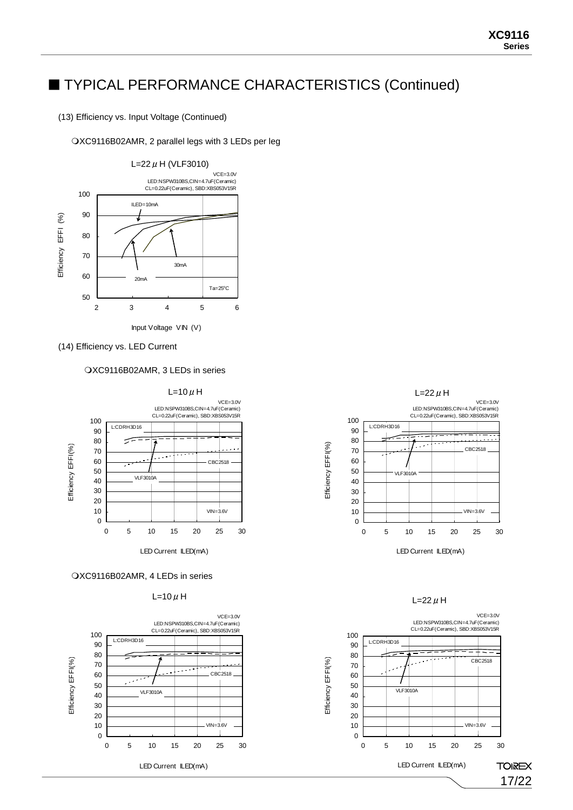### ■ TYPICAL PERFORMANCE CHARACTERISTICS (Continued)

(13) Efficiency vs. Input Voltage (Continued)

#### XC9116B02AMR, 2 parallel legs with 3 LEDs per leg



(14) Efficiency vs. LED Current

XC9116B02AMR, 3 LEDs in series



#### XC9116B02AMR, 4 LEDs in series





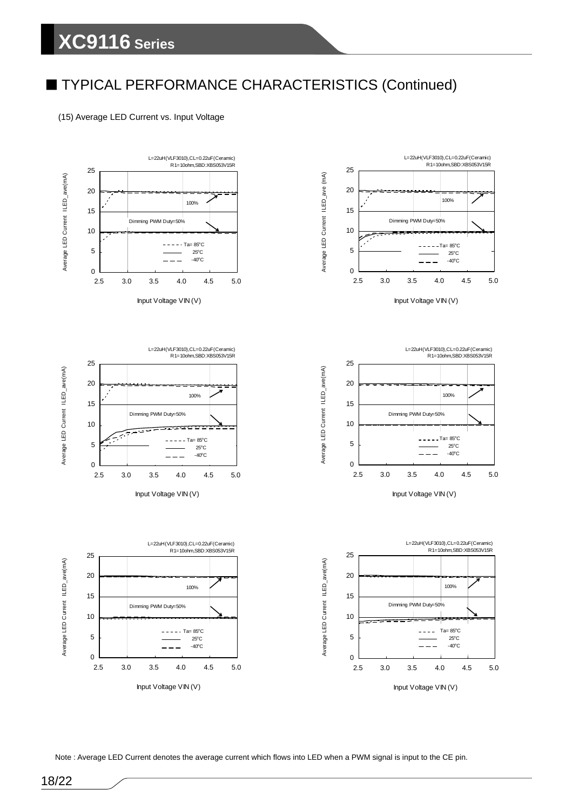## ■ TYPICAL PERFORMANCE CHARACTERISTICS (Continued)

(15) Average LED Current vs. Input Voltage







Input Voltage VIN (V)



0

2.5 3.0 3.5 4.0 4.5 5.0 Input Voltage VIN (V)

 $- - - -$  Ta= 85°C 25o C  $- - - - - - - - -40^{\circ}$ C

Dimming PWM Duty=50%

100%

5

10

15

20







Note : Average LED Current denotes the average current which flows into LED when a PWM signal is input to the CE pin.

Average LED Current ILED\_ave(mA)

Average LED Current ILED\_ave(mA)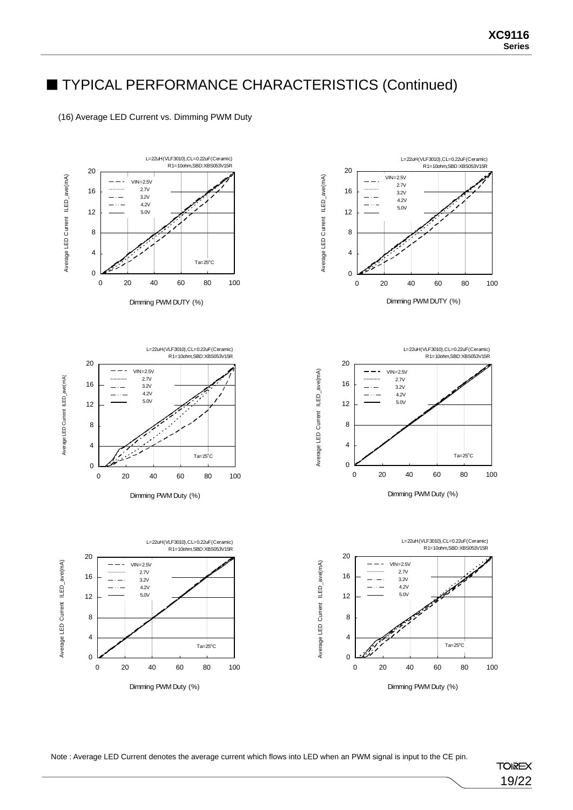## ■ TYPICAL PERFORMANCE CHARACTERISTICS (Continued)

#### (16) Average LED Current vs. Dimming PWM Duty













Average LED Current ILED\_ave(mA)

Average LED Current ILED\_ave(mA)



Note : Average LED Current denotes the average current which flows into LED when an PWM signal is input to the CE pin.

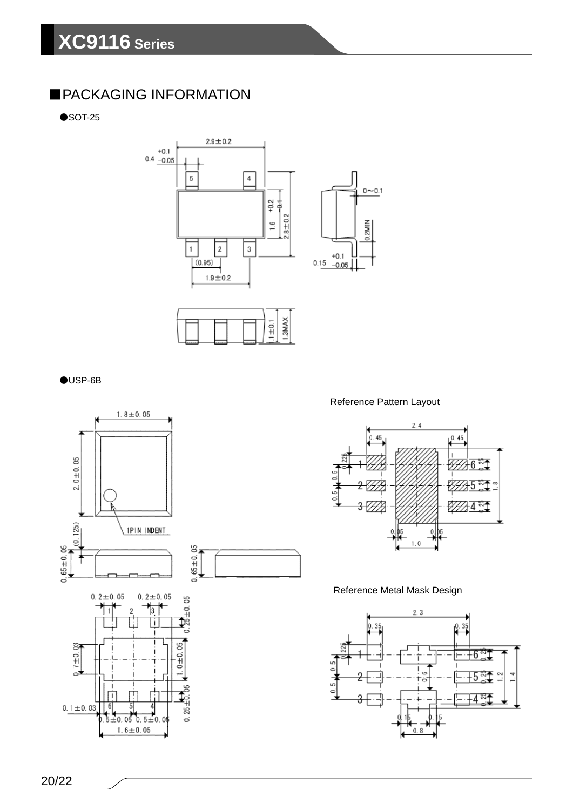### ■PACKAGING INFORMATION

 $\bullet$ SOT-25









Reference Pattern Layout



### Reference Metal Mask Design

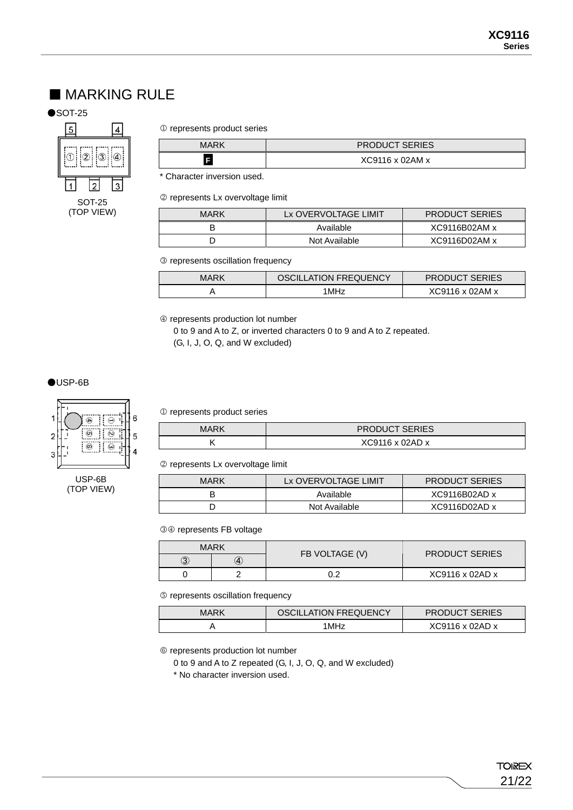### ■ MARKING RULE

#### $\bullet$ SOT-25



#### $0$  represents product series

| <b>MARK</b> | <b>PRODUCT SERIES</b> |  |
|-------------|-----------------------|--|
|             | XC9116 x 02AM x       |  |

\* Character inversion used.

2 represents Lx overvoltage limit

| <b>MARK</b> | Lx OVERVOLTAGE LIMIT | <b>PRODUCT SERIES</b> |
|-------------|----------------------|-----------------------|
|             | Available            | XC9116B02AM x         |
|             | Not Available        | XC9116D02AMx          |

3 represents oscillation frequency

| MARK | <b>OSCILLATION FREQUENCY</b> | <b>PRODUCT SERIES</b>       |
|------|------------------------------|-----------------------------|
|      | I MHz                        | $XC9116 \times 02AM \times$ |

4 represents production lot number

0 to 9 and A to Z, or inverted characters 0 to 9 and A to Z repeated. (G, I, J, O, Q, and W excluded)

●USP-6B



USP-6B (TOP VIEW)

#### $0$  represents product series

| MARK | <b>PRODUCT SERIES</b> |  |
|------|-----------------------|--|
|      | XC9116 x 02AD x       |  |

2 represents Lx overvoltage limit

| MARK | Lx OVERVOLTAGE LIMIT | <b>PRODUCT SERIES</b> |
|------|----------------------|-----------------------|
|      | Available            | $XC9116B02AD \times$  |
|      | Not Available        | $XC9116D02AD$ x       |

34 represents FB voltage

|              | MARK              | FB VOLTAGE (V) | <b>PRODUCT SERIES</b>       |
|--------------|-------------------|----------------|-----------------------------|
| $_{\rm (3)}$ | $\left( 4\right)$ |                |                             |
|              |                   |                | $XC9116 \times 02AD \times$ |

5 represents oscillation frequency

| MARK | OSCILLATION FREQUENCY | <b>PRODUCT SERIES</b>       |
|------|-----------------------|-----------------------------|
|      | 1MHz                  | $XC9116 \times 02AD \times$ |

6 represents production lot number

0 to 9 and A to Z repeated (G, I, J, O, Q, and W excluded)

\* No character inversion used.